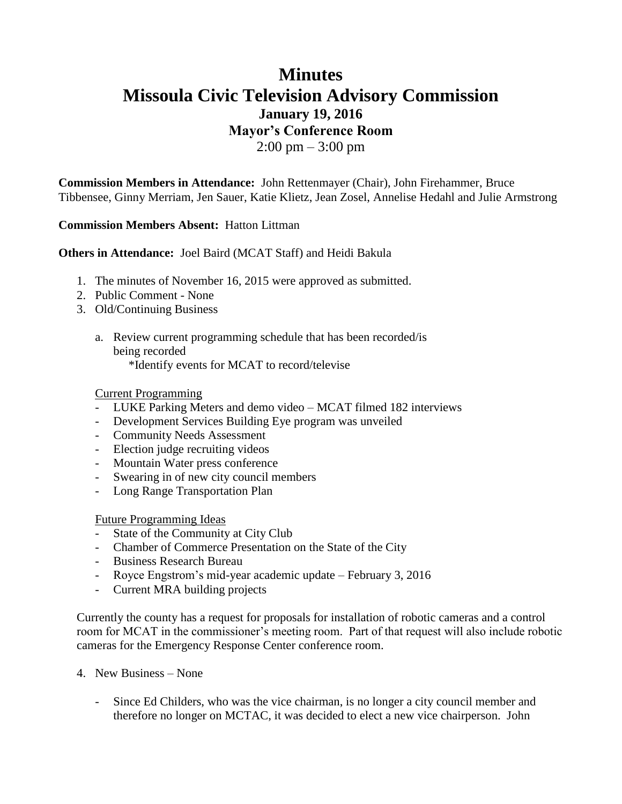# **Minutes Missoula Civic Television Advisory Commission January 19, 2016 Mayor's Conference Room**  $2:00 \text{ pm} - 3:00 \text{ pm}$

**Commission Members in Attendance:** John Rettenmayer (Chair), John Firehammer, Bruce Tibbensee, Ginny Merriam, Jen Sauer, Katie Klietz, Jean Zosel, Annelise Hedahl and Julie Armstrong

### **Commission Members Absent:** Hatton Littman

**Others in Attendance:** Joel Baird (MCAT Staff) and Heidi Bakula

- 1. The minutes of November 16, 2015 were approved as submitted.
- 2. Public Comment None
- 3. Old/Continuing Business
	- a. Review current programming schedule that has been recorded/is being recorded \*Identify events for MCAT to record/televise

#### Current Programming

- LUKE Parking Meters and demo video MCAT filmed 182 interviews
- Development Services Building Eye program was unveiled
- Community Needs Assessment
- Election judge recruiting videos
- Mountain Water press conference
- Swearing in of new city council members
- Long Range Transportation Plan

#### Future Programming Ideas

- State of the Community at City Club
- Chamber of Commerce Presentation on the State of the City
- Business Research Bureau
- Royce Engstrom's mid-year academic update February 3, 2016
- Current MRA building projects

Currently the county has a request for proposals for installation of robotic cameras and a control room for MCAT in the commissioner's meeting room. Part of that request will also include robotic cameras for the Emergency Response Center conference room.

- 4. New Business None
	- Since Ed Childers, who was the vice chairman, is no longer a city council member and therefore no longer on MCTAC, it was decided to elect a new vice chairperson. John